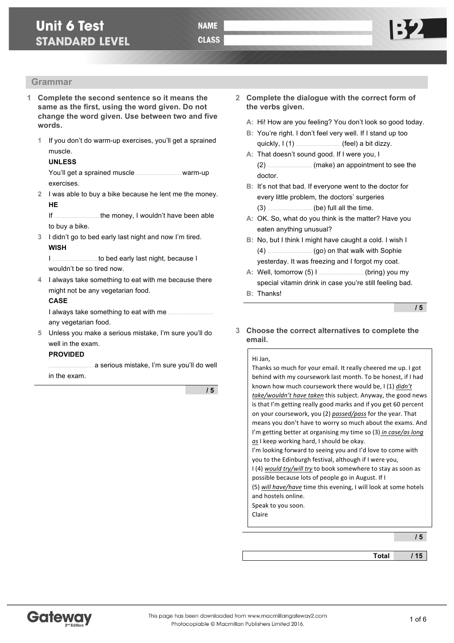# **Unit 6 Test STANDARD LEVEL**

## **Grammar**

- **1 Complete the second sentence so it means the same as the first, using the word given. Do not change the word given. Use between two and five words.**
	- **1** If you don't do warm-up exercises, you'll get a sprained muscle.

### **UNLESS**

You'll get a sprained muscle ……………………… warm-up exercises.

**2** I was able to buy a bike because he lent me the money. **HE**

If ……………………… the money, I wouldn't have been able to buy a bike.

**3** I didn't go to bed early last night and now I'm tired. **WISH**

I ……………………… to bed early last night, because I wouldn't be so tired now.

**4** I always take something to eat with me because there might not be any vegetarian food.

### **CASE**

I always take something to eat with me ……………………… any vegetarian food.

**5** Unless you make a serious mistake, I'm sure you'll do well in the exam.

#### **PROVIDED**

……………………… a serious mistake, I'm sure you'll do well in the exam.

**/ 5**

- **2 Complete the dialogue with the correct form of the verbs given.**
	- **A:** Hi! How are you feeling? You don't look so good today.
	- **B:** You're right. I don't feel very well. If I stand up too quickly, I (1) ……………………… (feel) a bit dizzy.
	- **A:** That doesn't sound good. If I were you, I (2) ……………………… (make) an appointment to see the doctor.
	- **B:** It's not that bad. If everyone went to the doctor for every little problem, the doctors' surgeries (3) ……………………… (be) full all the time.
	- **A:** OK. So, what do you think is the matter? Have you eaten anything unusual?
	- **B:** No, but I think I might have caught a cold. I wish I (4) ……………………… (go) on that walk with Sophie yesterday. It was freezing and I forgot my coat.
	- **A:** Well, tomorrow (5) I ……………………… (bring) you my special vitamin drink in case you're still feeling bad.
	- **B:** Thanks!

**/ 5**

**3 Choose the correct alternatives to complete the email.**

| Hi Jan,                                                          |
|------------------------------------------------------------------|
| Thanks so much for your email. It really cheered me up. I got    |
| behind with my coursework last month. To be honest, if I had     |
| known how much coursework there would be, I (1) <i>didn't</i>    |
| take/wouldn't have taken this subject. Anyway, the good news     |
| is that I'm getting really good marks and if you get 60 percent  |
| on your coursework, you (2) passed/pass for the year. That       |
| means you don't have to worry so much about the exams. And       |
| I'm getting better at organising my time so (3) in case/as long  |
| as I keep working hard, I should be okay.                        |
| I'm looking forward to seeing you and I'd love to come with      |
| you to the Edinburgh festival, although if I were you,           |
| 1(4) would try/will try to book somewhere to stay as soon as     |
| possible because lots of people go in August. If I               |
| (5) will have/have time this evening, I will look at some hotels |
| and hostels online.                                              |
| Speak to you soon.                                               |
| Claire                                                           |
|                                                                  |

**/ 5**

**Total / 15**

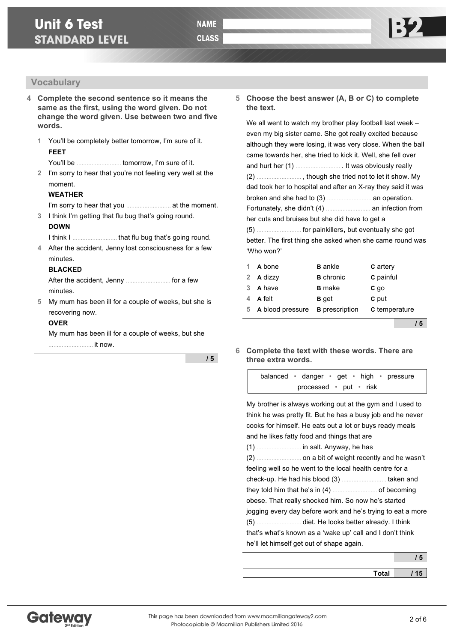## **Vocabulary**

**4 Complete the second sentence so it means the same as the first, using the word given. Do not change the word given. Use between two and five words.**

**1** You'll be completely better tomorrow, I'm sure of it. **FEET**

You'll be ……………………… tomorrow, I'm sure of it.

**2** I'm sorry to hear that you're not feeling very well at the moment.

#### **WEATHER**

I'm sorry to hear that you ……………………… at the moment.

**3** I think I'm getting that flu bug that's going round. **DOWN**

I think I ……………………… that flu bug that's going round.

**4** After the accident, Jenny lost consciousness for a few minutes.

### **BLACKED**

After the accident, Jenny ……………………… for a few minutes.

**5** My mum has been ill for a couple of weeks, but she is recovering now.

### **OVER**

My mum has been ill for a couple of weeks, but she ……………………… it now.

**/ 5**

**5 Choose the best answer (A, B or C) to complete the text.**

We all went to watch my brother play football last week – even my big sister came. She got really excited because although they were losing, it was very close. When the ball came towards her, she tried to kick it. Well, she fell over and hurt her (1) ……………………… . It was obviously really (2) ……………………… , though she tried not to let it show. My dad took her to hospital and after an X-ray they said it was broken and she had to (3) ……………………… an operation. Fortunately, she didn't (4) ……………………… an infection from her cuts and bruises but she did have to get a (5) ……………………… for painkillers, but eventually she got

better. The first thing she asked when she came round was 'Who won?'

| C temperature |
|---------------|

**/ 5**

### **6 Complete the text with these words. There are three extra words.**

| balanced • danger • get • high • pressure |  |  |  |
|-------------------------------------------|--|--|--|
| processed $\cdot$ put $\cdot$ risk        |  |  |  |

My brother is always working out at the gym and I used to think he was pretty fit. But he has a busy job and he never cooks for himself. He eats out a lot or buys ready meals and he likes fatty food and things that are (1) ……………………… in salt. Anyway, he has

| feeling well so he went to the local health centre for a  |                                                             |
|-----------------------------------------------------------|-------------------------------------------------------------|
|                                                           |                                                             |
|                                                           |                                                             |
| obese. That really shocked him. So now he's started       |                                                             |
|                                                           | jogging every day before work and he's trying to eat a more |
|                                                           |                                                             |
| that's what's known as a 'wake up' call and I don't think |                                                             |
| he'll let himself get out of shape again.                 |                                                             |

| Total | $\overline{\phantom{a}}$ |
|-------|--------------------------|
|       |                          |

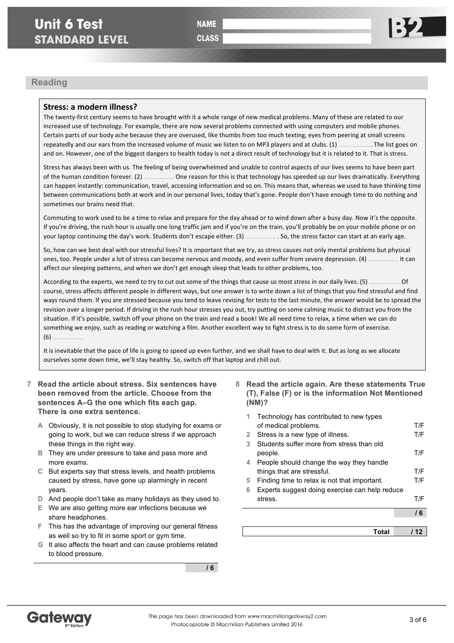**CLASS** 

## **Reading**

### Stress: a modern illness?

The twenty-first century seems to have brought with it a whole range of new medical problems. Many of these are related to our increased use of technology. For example, there are now several problems connected with using computers and mobile phones. Certain parts of our body ache because they are overused, like thumbs from too much texting, eyes from peering at small screens repeatedly and our ears from the increased volume of music we listen to on MP3 players and at clubs. (1) **Example** 1 The list goes on and on. However, one of the biggest dangers to health today is not a direct result of technology but it is related to it. That is stress.

Stress has always been with us. The feeling of being overwhelmed and unable to control aspects of our lives seems to have been part of the human condition forever. (2) **EXECT ADDED ENDED** One reason for this is that technology has speeded up our lives dramatically. Everything can happen instantly: communication, travel, accessing information and so on. This means that, whereas we used to have thinking time between communications both at work and in our personal lives, today that's gone. People don't have enough time to do nothing and sometimes our brains need that.

Commuting to work used to be a time to relax and prepare for the day ahead or to wind down after a busy day. Now it's the opposite. If you're driving, the rush hour is usually one long traffic jam and if you're on the train, you'll probably be on your mobile phone or on your laptop continuing the day's work. Students don't escape either. (3) **EXEC ADDENT MONEST SECTOR CALC ASSETS** 

So, how can we best deal with our stressful lives? It is important that we try, as stress causes not only mental problems but physical ones, too. People under a lot of stress can become nervous and moody, and even suffer from severe depression. (4) ……………………… It can affect our sleeping patterns, and when we don't get enough sleep that leads to other problems, too.

According to the experts, we need to try to cut out some of the things that cause us most stress in our daily lives. (5) ……………………… Of course, stress affects different people in different ways, but one answer is to write down a list of things that you find stressful and find ways round them. If you are stressed because you tend to leave revising for tests to the last minute, the answer would be to spread the revision over a longer period. If driving in the rush hour stresses you out, try putting on some calming music to distract you from the situation. If it's possible, switch off your phone on the train and read a book! We all need time to relax, a time when we can do something we enjoy, such as reading or watching a film. Another excellent way to fight stress is to do some form of exercise.  $(6)$ 

It is inevitable that the pace of life is going to speed up even further, and we shall have to deal with it. But as long as we allocate ourselves some down time, we'll stay healthy. So, switch off that laptop and chill out.

- **7 Read the article about stress. Six sentences have been removed from the article. Choose from the sentences A–G the one which fits each gap. There is one extra sentence.**
	- **A** Obviously, it is not possible to stop studying for exams or going to work, but we can reduce stress if we approach these things in the right way.
	- **B** They are under pressure to take and pass more and more exams.
	- **C** But experts say that stress levels, and health problems caused by stress, have gone up alarmingly in recent years.
	- **D** And people don't take as many holidays as they used to.
	- **E** We are also getting more ear infections because we share headphones.
	- **F** This has the advantage of improving our general fitness as well so try to fit in some sport or gym time.
	- **G** It also affects the heart and can cause problems related to blood pressure.

**/ 6**

**8 Read the article again. Are these statements True (T), False (F) or is the information Not Mentioned (NM)?**

|   | Total                                          |     |
|---|------------------------------------------------|-----|
|   |                                                |     |
|   |                                                | 16  |
|   | stress.                                        | T/F |
| 6 | Experts suggest doing exercise can help reduce |     |
| 5 | Finding time to relax is not that important.   | T/F |
|   | things that are stressful.                     | T/F |
| 4 | People should change the way they handle       |     |
|   | people.                                        | T/F |
| 3 | Students suffer more from stress than old      |     |
| 2 | Stress is a new type of illness.               | T/F |
|   | of medical problems.                           | T/F |
| 1 | Technology has contributed to new types        |     |

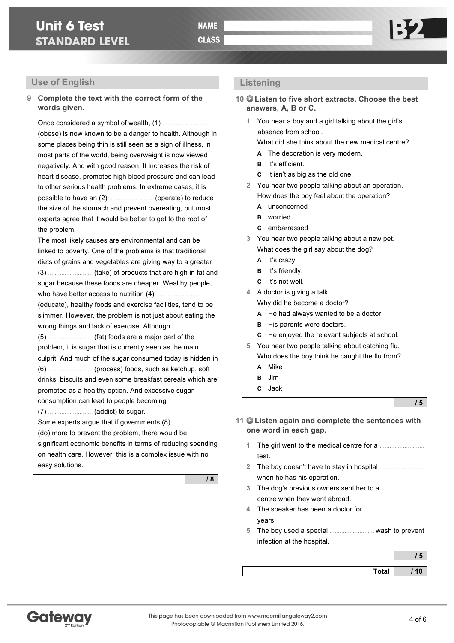# **Unit 6 Test STANDARD LEVEL**

## **Use of English**

## **9 Complete the text with the correct form of the words given.**

Once considered a symbol of wealth, (1) ……………………… (obese) is now known to be a danger to health. Although in some places being thin is still seen as a sign of illness, in most parts of the world, being overweight is now viewed negatively. And with good reason. It increases the risk of heart disease, promotes high blood pressure and can lead to other serious health problems. In extreme cases, it is possible to have an (2) ……………………… (operate) to reduce the size of the stomach and prevent overeating, but most experts agree that it would be better to get to the root of the problem.

The most likely causes are environmental and can be linked to poverty. One of the problems is that traditional diets of grains and vegetables are giving way to a greater (3) ……………………… (take) of products that are high in fat and sugar because these foods are cheaper. Wealthy people,

who have better access to nutrition (4) ………………………

(educate), healthy foods and exercise facilities, tend to be slimmer. However, the problem is not just about eating the wrong things and lack of exercise. Although

(5) ……………………… (fat) foods are a major part of the problem, it is sugar that is currently seen as the main culprit. And much of the sugar consumed today is hidden in (6) ……………………… (process) foods, such as ketchup, soft drinks, biscuits and even some breakfast cereals which are promoted as a healthy option. And excessive sugar consumption can lead to people becoming

(7) ……………………… (addict) to sugar.

Some experts arque that if governments (8) …………… (do) more to prevent the problem, there would be significant economic benefits in terms of reducing spending on health care. However, this is a complex issue with no easy solutions.

**/ 8**

## **Listening**

**10 Listen to five short extracts. Choose the best answers, A, B or C.**

**1** You hear a boy and a girl talking about the girl's absence from school.

What did she think about the new medical centre?

- **A** The decoration is very modern.
- **B** It's efficient.
- **C** It isn't as big as the old one.
- **2** You hear two people talking about an operation. How does the boy feel about the operation?
	- **A** unconcerned
	- **B** worried
	- **C** embarrassed
- **3** You hear two people talking about a new pet. What does the girl say about the dog?
	- **A** It's crazy.
	- **B** It's friendly.
	- **C** It's not well.
- **4** A doctor is giving a talk.

Why did he become a doctor?

- **A** He had always wanted to be a doctor.
- **B** His parents were doctors.
- **C** He enjoyed the relevant subjects at school.
- **5** You hear two people talking about catching flu. Who does the boy think he caught the flu from?
	- **A** Mike
	- **B** Jim
	- **C** Jack

**/ 5**

## **11 Listen again and complete the sentences with one word in each gap.**

- **1** The girl went to the medical centre for a ……………………… test**.**
- **2** The boy doesn't have to stay in hospital ……………………… when he has his operation.
- **3** The dog's previous owners sent her to a ……………………… centre when they went abroad.
- **4** The speaker has been a doctor for ……………………… years.
- **5** The boy used a special ……………………… wash to prevent infection at the hospital.

**Total / 10**

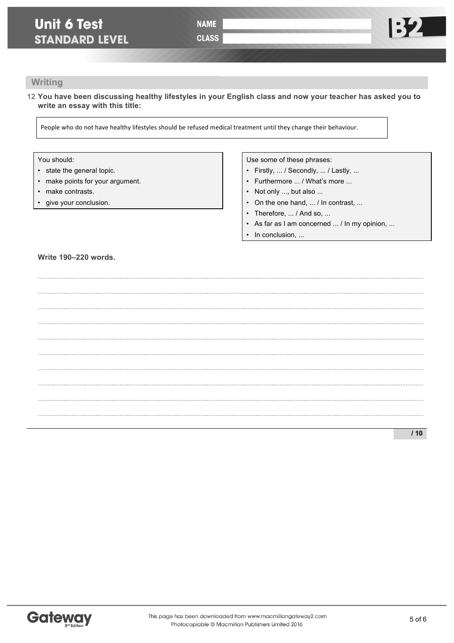**CLASS** 

## Writing

12 You have been discussing healthy lifestyles in your English class and now your teacher has asked you to write an essay with this title:

People who do not have healthy lifestyles should be refused medical treatment until they change their behaviour.

## You should:

- state the general topic.
- make points for your argument.
- make contrasts.
- give your conclusion.

### Use some of these phrases:

- Firstly, ... / Secondly, ... / Lastly, ...
- Furthermore ... / What's more ...
- Not only ..., but also ...
- On the one hand, ... / In contrast, ...
- Therefore, ... / And so, ...
- As far as I am concerned ... / In my opinion, ...
- In conclusion, ...  $\bullet$

### **Write 190-220 words.**

 $110$